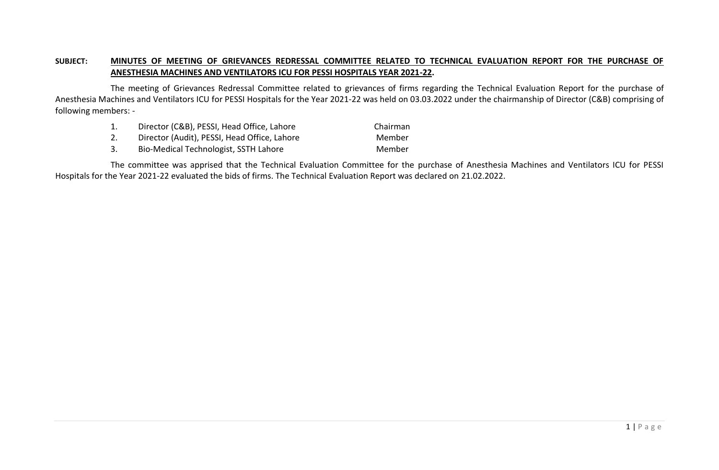## **SUBJECT: MINUTES OF MEETING OF GRIEVANCES REDRESSAL COMMITTEE RELATED TO TECHNICAL EVALUATION REPORT FOR THE PURCHASE OF ANESTHESIA MACHINES AND VENTILATORS ICU FOR PESSI HOSPITALS YEAR 2021-22.**

The meeting of Grievances Redressal Committee related to grievances of firms regarding the Technical Evaluation Report for the purchase of Anesthesia Machines and Ventilators ICU for PESSI Hospitals for the Year 2021-22 was held on 03.03.2022 under the chairmanship of Director (C&B) comprising of following members: -

- 1. Director (C&B), PESSI, Head Office, Lahore Chairman
- 2. Director (Audit), PESSI, Head Office, Lahore Member
- 3. Bio-Medical Technologist, SSTH Lahore Member

The committee was apprised that the Technical Evaluation Committee for the purchase of Anesthesia Machines and Ventilators ICU for PESSI Hospitals for the Year 2021-22 evaluated the bids of firms. The Technical Evaluation Report was declared on 21.02.2022.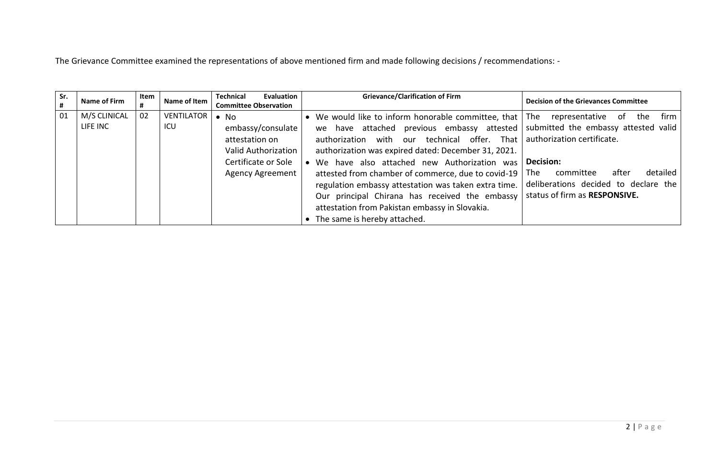The Grievance Committee examined the representations of above mentioned firm and made following decisions / recommendations: -

| Sr. | Name of Firm | Item<br># | Name of Item      | <b>Technical</b><br>Evaluation<br><b>Committee Observation</b> | <b>Grievance/Clarification of Firm</b>                                            | <b>Decision of the Grievances Committee</b> |
|-----|--------------|-----------|-------------------|----------------------------------------------------------------|-----------------------------------------------------------------------------------|---------------------------------------------|
| 01  | M/S CLINICAL | 02        | <b>VENTILATOR</b> | $\bullet$ No                                                   | • We would like to inform honorable committee, that The representative            | firm<br>of.<br>the                          |
|     | LIFE INC     |           | ICU               | embassy/consulate                                              | we have attached previous embassy attested   submitted the embassy attested valid |                                             |
|     |              |           |                   | attestation on                                                 | authorization with our technical offer. That                                      | authorization certificate.                  |
|     |              |           |                   | Valid Authorization                                            | authorization was expired dated: December 31, 2021.                               |                                             |
|     |              |           |                   | Certificate or Sole                                            | We have also attached new Authorization was                                       | Decision:                                   |
|     |              |           |                   | <b>Agency Agreement</b>                                        | attested from chamber of commerce, due to covid-19                                | detailed<br>committee<br>after<br>The .     |
|     |              |           |                   |                                                                | regulation embassy attestation was taken extra time.                              | deliberations decided to declare the        |
|     |              |           |                   |                                                                | Our principal Chirana has received the embassy                                    | status of firm as RESPONSIVE.               |
|     |              |           |                   |                                                                | attestation from Pakistan embassy in Slovakia.                                    |                                             |
|     |              |           |                   |                                                                | The same is hereby attached.                                                      |                                             |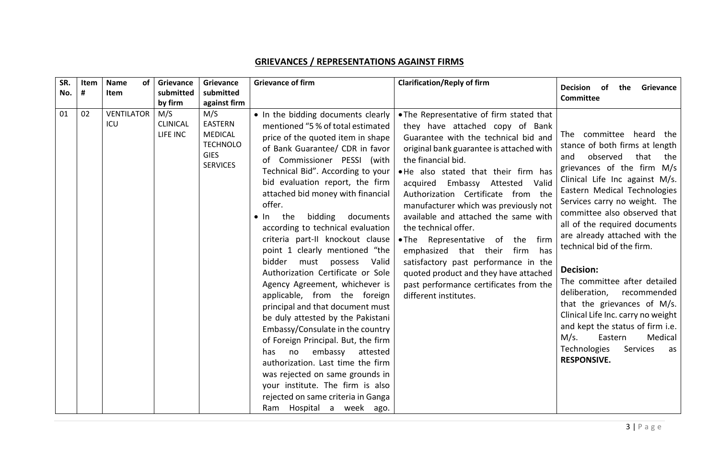## **GRIEVANCES / REPRESENTATIONS AGAINST FIRMS**

| SR. | Item | <b>Name</b><br><b>of</b> | Grievance                          | Grievance                                                                                    | <b>Grievance of firm</b>                                                                                                                                                                                                                                                                                                                                                                                                                                                                                                                                                                                                                                                                                                                                                                                                                                                                                                                                                               | <b>Clarification/Reply of firm</b>                                                                                                                                                                                                                                                                                                                                                                                                                                                                                                                                                                                                                | <b>Decision</b><br>the<br>Grievance<br>0f                                                                                                                                                                                                                                                                                                                                                                                                                                                                                                                                                                                             |
|-----|------|--------------------------|------------------------------------|----------------------------------------------------------------------------------------------|----------------------------------------------------------------------------------------------------------------------------------------------------------------------------------------------------------------------------------------------------------------------------------------------------------------------------------------------------------------------------------------------------------------------------------------------------------------------------------------------------------------------------------------------------------------------------------------------------------------------------------------------------------------------------------------------------------------------------------------------------------------------------------------------------------------------------------------------------------------------------------------------------------------------------------------------------------------------------------------|---------------------------------------------------------------------------------------------------------------------------------------------------------------------------------------------------------------------------------------------------------------------------------------------------------------------------------------------------------------------------------------------------------------------------------------------------------------------------------------------------------------------------------------------------------------------------------------------------------------------------------------------------|---------------------------------------------------------------------------------------------------------------------------------------------------------------------------------------------------------------------------------------------------------------------------------------------------------------------------------------------------------------------------------------------------------------------------------------------------------------------------------------------------------------------------------------------------------------------------------------------------------------------------------------|
| No. | #    | <b>Item</b>              | submitted<br>by firm               | submitted<br>against firm                                                                    |                                                                                                                                                                                                                                                                                                                                                                                                                                                                                                                                                                                                                                                                                                                                                                                                                                                                                                                                                                                        |                                                                                                                                                                                                                                                                                                                                                                                                                                                                                                                                                                                                                                                   | <b>Committee</b>                                                                                                                                                                                                                                                                                                                                                                                                                                                                                                                                                                                                                      |
| 01  | 02   | <b>VENTILATOR</b><br>ICU | M/S<br><b>CLINICAL</b><br>LIFE INC | M/S<br><b>EASTERN</b><br><b>MEDICAL</b><br><b>TECHNOLO</b><br><b>GIES</b><br><b>SERVICES</b> | • In the bidding documents clearly<br>mentioned "5 % of total estimated<br>price of the quoted item in shape<br>of Bank Guarantee/ CDR in favor<br>Commissioner PESSI (with<br>of<br>Technical Bid". According to your<br>bid evaluation report, the firm<br>attached bid money with financial<br>offer.<br>bidding<br>documents<br>the<br>$\bullet$ In<br>according to technical evaluation<br>criteria part-II knockout clause<br>point 1 clearly mentioned "the<br>bidder<br>Valid<br>possess<br>must<br>Authorization Certificate or Sole<br>Agency Agreement, whichever is<br>applicable, from the foreign<br>principal and that document must<br>be duly attested by the Pakistani<br>Embassy/Consulate in the country<br>of Foreign Principal. But, the firm<br>embassy<br>attested<br>has.<br>no<br>authorization. Last time the firm<br>was rejected on same grounds in<br>your institute. The firm is also<br>rejected on same criteria in Ganga<br>Ram Hospital a week ago. | • The Representative of firm stated that<br>they have attached copy of Bank<br>Guarantee with the technical bid and<br>original bank guarantee is attached with<br>the financial bid.<br>. He also stated that their firm has<br>acquired Embassy Attested<br>Valid<br>Authorization Certificate from the<br>manufacturer which was previously not<br>available and attached the same with<br>the technical offer.<br>.The Representative of the firm<br>emphasized that their<br>firm<br>has<br>satisfactory past performance in the<br>quoted product and they have attached<br>past performance certificates from the<br>different institutes. | The committee heard the<br>stance of both firms at length<br>observed<br>that<br>the<br>and<br>grievances of the firm M/s<br>Clinical Life Inc against M/s.<br>Eastern Medical Technologies<br>Services carry no weight. The<br>committee also observed that<br>all of the required documents<br>are already attached with the<br>technical bid of the firm.<br>Decision:<br>The committee after detailed<br>deliberation, recommended<br>that the grievances of M/s.<br>Clinical Life Inc. carry no weight<br>and kept the status of firm i.e.<br>M/s.<br>Medical<br>Eastern<br>Technologies<br>Services<br>as<br><b>RESPONSIVE.</b> |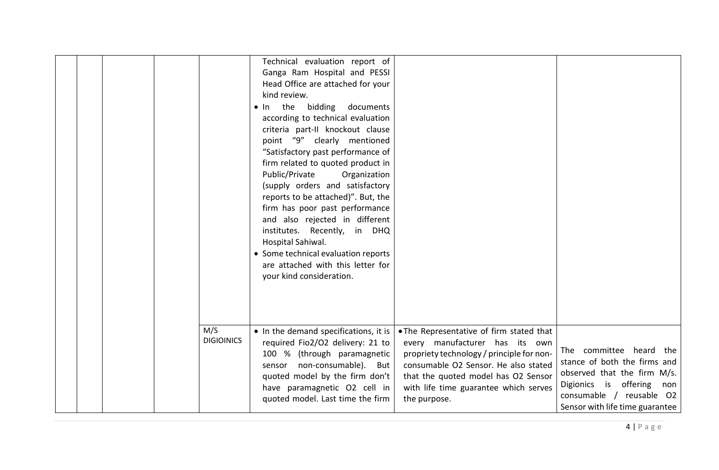|                          | Technical evaluation report of<br>Ganga Ram Hospital and PESSI<br>Head Office are attached for your<br>kind review.<br>bidding<br>the<br>documents<br>In.<br>according to technical evaluation<br>criteria part-II knockout clause<br>point "9" clearly mentioned<br>"Satisfactory past performance of<br>firm related to quoted product in<br>Public/Private<br>Organization<br>(supply orders and satisfactory<br>reports to be attached)". But, the<br>firm has poor past performance<br>and also rejected in different<br>institutes. Recently, in DHQ<br>Hospital Sahiwal.<br>• Some technical evaluation reports<br>are attached with this letter for<br>your kind consideration. |                                                                                                                                                                                                                                                                 |                                                                                                                                                                                       |
|--------------------------|-----------------------------------------------------------------------------------------------------------------------------------------------------------------------------------------------------------------------------------------------------------------------------------------------------------------------------------------------------------------------------------------------------------------------------------------------------------------------------------------------------------------------------------------------------------------------------------------------------------------------------------------------------------------------------------------|-----------------------------------------------------------------------------------------------------------------------------------------------------------------------------------------------------------------------------------------------------------------|---------------------------------------------------------------------------------------------------------------------------------------------------------------------------------------|
| M/S<br><b>DIGIOINICS</b> | • In the demand specifications, it is<br>required Fio2/O2 delivery: 21 to<br>100 % (through paramagnetic<br>sensor non-consumable). But<br>quoted model by the firm don't<br>have paramagnetic O2 cell in<br>quoted model. Last time the firm                                                                                                                                                                                                                                                                                                                                                                                                                                           | . The Representative of firm stated that<br>every manufacturer has its own<br>propriety technology / principle for non-<br>consumable O2 Sensor. He also stated<br>that the quoted model has O2 Sensor<br>with life time guarantee which serves<br>the purpose. | The committee heard the<br>stance of both the firms and<br>observed that the firm M/s.<br>Digionics is offering<br>non<br>consumable / reusable O2<br>Sensor with life time guarantee |